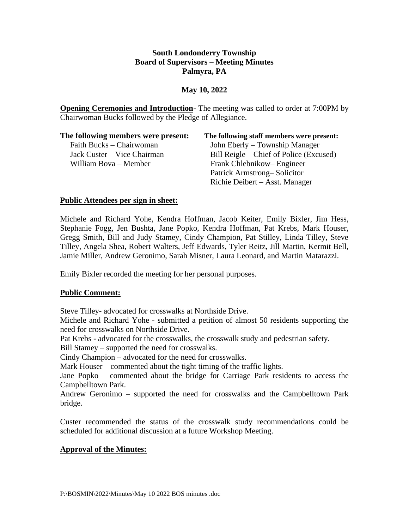## **South Londonderry Township Board of Supervisors – Meeting Minutes Palmyra, PA**

### **May 10, 2022**

**Opening Ceremonies and Introduction-** The meeting was called to order at 7:00PM by Chairwoman Bucks followed by the Pledge of Allegiance.

| The following members were present: | The following staff members were present: |
|-------------------------------------|-------------------------------------------|
| Faith Bucks – Chairwoman            | John Eberly – Township Manager            |
| Jack Custer – Vice Chairman         | Bill Reigle – Chief of Police (Excused)   |
| William Bova – Member               | Frank Chlebnikow–Engineer                 |
|                                     | Patrick Armstrong–Solicitor               |
|                                     | Richie Deibert – Asst. Manager            |

#### **Public Attendees per sign in sheet:**

Michele and Richard Yohe, Kendra Hoffman, Jacob Keiter, Emily Bixler, Jim Hess, Stephanie Fogg, Jen Bushta, Jane Popko, Kendra Hoffman, Pat Krebs, Mark Houser, Gregg Smith, Bill and Judy Stamey, Cindy Champion, Pat Stilley, Linda Tilley, Steve Tilley, Angela Shea, Robert Walters, Jeff Edwards, Tyler Reitz, Jill Martin, Kermit Bell, Jamie Miller, Andrew Geronimo, Sarah Misner, Laura Leonard, and Martin Matarazzi.

Emily Bixler recorded the meeting for her personal purposes.

# **Public Comment:**

Steve Tilley- advocated for crosswalks at Northside Drive.

Michele and Richard Yohe - submitted a petition of almost 50 residents supporting the need for crosswalks on Northside Drive.

Pat Krebs - advocated for the crosswalks, the crosswalk study and pedestrian safety.

Bill Stamey – supported the need for crosswalks.

Cindy Champion – advocated for the need for crosswalks.

Mark Houser – commented about the tight timing of the traffic lights.

Jane Popko – commented about the bridge for Carriage Park residents to access the Campbelltown Park.

Andrew Geronimo – supported the need for crosswalks and the Campbelltown Park bridge.

Custer recommended the status of the crosswalk study recommendations could be scheduled for additional discussion at a future Workshop Meeting.

# **Approval of the Minutes:**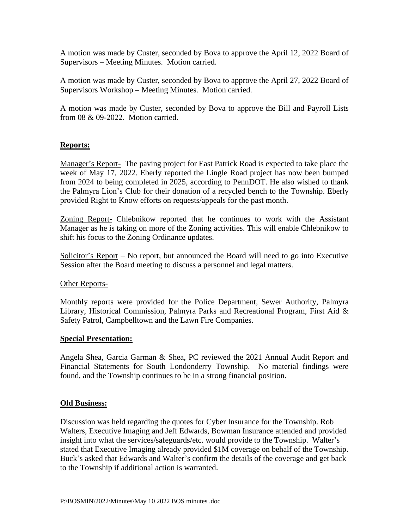A motion was made by Custer, seconded by Bova to approve the April 12, 2022 Board of Supervisors – Meeting Minutes. Motion carried.

A motion was made by Custer, seconded by Bova to approve the April 27, 2022 Board of Supervisors Workshop – Meeting Minutes. Motion carried.

A motion was made by Custer, seconded by Bova to approve the Bill and Payroll Lists from 08 & 09-2022. Motion carried.

#### **Reports:**

Manager's Report- The paving project for East Patrick Road is expected to take place the week of May 17, 2022. Eberly reported the Lingle Road project has now been bumped from 2024 to being completed in 2025, according to PennDOT. He also wished to thank the Palmyra Lion's Club for their donation of a recycled bench to the Township. Eberly provided Right to Know efforts on requests/appeals for the past month.

Zoning Report- Chlebnikow reported that he continues to work with the Assistant Manager as he is taking on more of the Zoning activities. This will enable Chlebnikow to shift his focus to the Zoning Ordinance updates.

Solicitor's Report – No report, but announced the Board will need to go into Executive Session after the Board meeting to discuss a personnel and legal matters.

#### Other Reports-

Monthly reports were provided for the Police Department, Sewer Authority, Palmyra Library, Historical Commission, Palmyra Parks and Recreational Program, First Aid & Safety Patrol, Campbelltown and the Lawn Fire Companies.

#### **Special Presentation:**

Angela Shea, Garcia Garman & Shea, PC reviewed the 2021 Annual Audit Report and Financial Statements for South Londonderry Township. No material findings were found, and the Township continues to be in a strong financial position.

#### **Old Business:**

Discussion was held regarding the quotes for Cyber Insurance for the Township. Rob Walters, Executive Imaging and Jeff Edwards, Bowman Insurance attended and provided insight into what the services/safeguards/etc. would provide to the Township. Walter's stated that Executive Imaging already provided \$1M coverage on behalf of the Township. Buck's asked that Edwards and Walter's confirm the details of the coverage and get back to the Township if additional action is warranted.